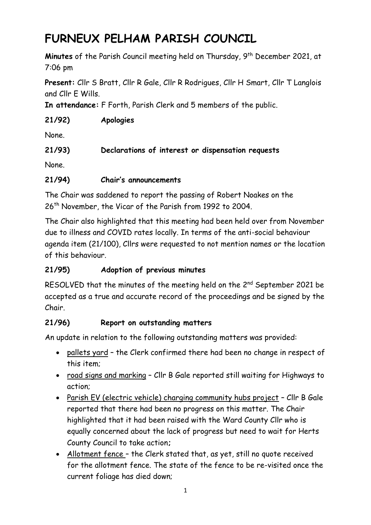# **FURNEUX PELHAM PARISH COUNCIL**

**Minutes** of the Parish Council meeting held on Thursday, 9 th December 2021, at 7:06 pm

**Present:** Cllr S Bratt, Cllr R Gale, Cllr R Rodrigues, Cllr H Smart, Cllr T Langlois and Cllr E Wills.

**In attendance:** F Forth, Parish Clerk and 5 members of the public.

## **21/92) Apologies**

None.

# **21/93) Declarations of interest or dispensation requests**

None.

# **21/94) Chair's announcements**

The Chair was saddened to report the passing of Robert Noakes on the 26<sup>th</sup> November, the Vicar of the Parish from 1992 to 2004.

The Chair also highlighted that this meeting had been held over from November due to illness and COVID rates locally. In terms of the anti-social behaviour agenda item (21/100), Cllrs were requested to not mention names or the location of this behaviour.

# **21/95) Adoption of previous minutes**

RESOLVED that the minutes of the meeting held on the 2<sup>nd</sup> September 2021 be accepted as a true and accurate record of the proceedings and be signed by the Chair.

# **21/96) Report on outstanding matters**

An update in relation to the following outstanding matters was provided:

- pallets yard the Clerk confirmed there had been no change in respect of this item;
- road signs and marking Cllr B Gale reported still waiting for Highways to action;
- Parish EV (electric vehicle) charging community hubs project Cllr B Gale reported that there had been no progress on this matter. The Chair highlighted that it had been raised with the Ward County Cllr who is equally concerned about the lack of progress but need to wait for Herts County Council to take action**;**
- Allotment fence the Clerk stated that, as yet, still no quote received for the allotment fence. The state of the fence to be re-visited once the current foliage has died down;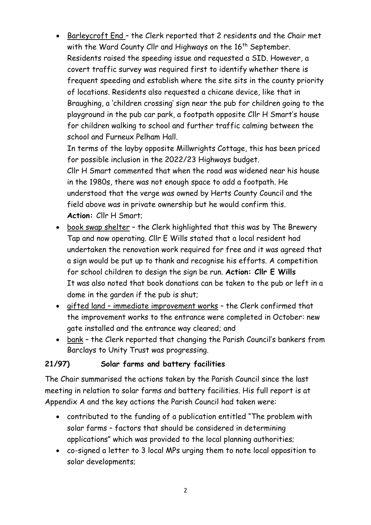• Barleycroft End – the Clerk reported that 2 residents and the Chair met with the Ward County Cllr and Highways on the 16<sup>th</sup> September. Residents raised the speeding issue and requested a SID. However, a covert traffic survey was required first to identify whether there is frequent speeding and establish where the site sits in the county priority of locations. Residents also requested a chicane device, like that in Braughing, a 'children crossing' sign near the pub for children going to the playground in the pub car park, a footpath opposite Cllr H Smart's house for children walking to school and further traffic calming between the school and Furneux Pelham Hall.

In terms of the layby opposite Millwrights Cottage, this has been priced for possible inclusion in the 2022/23 Highways budget.

Cllr H Smart commented that when the road was widened near his house in the 1980s, there was not enough space to add a footpath. He understood that the verge was owned by Herts County Council and the field above was in private ownership but he would confirm this. **Action:** Cllr H Smart;

- book swap shelter the Clerk highlighted that this was by The Brewery Tap and now operating. Cllr E Wills stated that a local resident had undertaken the renovation work required for free and it was agreed that a sign would be put up to thank and recognise his efforts. A competition for school children to design the sign be run. **Action: Cllr E Wills** It was also noted that book donations can be taken to the pub or left in a dome in the garden if the pub is shut;
- gifted land immediate improvement works the Clerk confirmed that the improvement works to the entrance were completed in October: new gate installed and the entrance way cleared; and
- bank the Clerk reported that changing the Parish Council's bankers from Barclays to Unity Trust was progressing.

## **21/97) Solar farms and battery facilities**

The Chair summarised the actions taken by the Parish Council since the last meeting in relation to solar farms and battery facilities. His full report is at Appendix A and the key actions the Parish Council had taken were:

- contributed to the funding of a publication entitled "The problem with solar farms – factors that should be considered in determining applications" which was provided to the local planning authorities;
- co-signed a letter to 3 local MPs urging them to note local opposition to solar developments;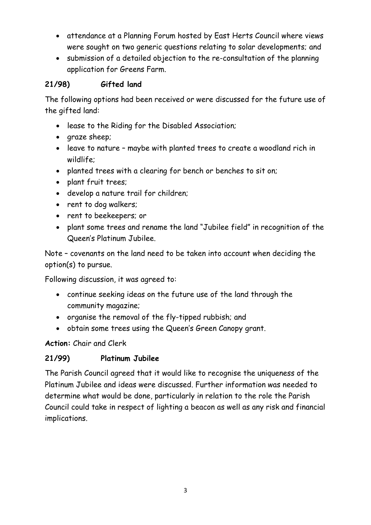- attendance at a Planning Forum hosted by East Herts Council where views were sought on two generic questions relating to solar developments; and
- submission of a detailed objection to the re-consultation of the planning application for Greens Farm.

## **21/98) Gifted land**

The following options had been received or were discussed for the future use of the gifted land:

- lease to the Riding for the Disabled Association;
- graze sheep;
- leave to nature maybe with planted trees to create a woodland rich in wildlife;
- planted trees with a clearing for bench or benches to sit on;
- plant fruit trees;
- develop a nature trail for children;
- rent to dog walkers;
- rent to beekeepers; or
- plant some trees and rename the land "Jubilee field" in recognition of the Queen's Platinum Jubilee.

Note – covenants on the land need to be taken into account when deciding the option(s) to pursue.

Following discussion, it was agreed to:

- continue seeking ideas on the future use of the land through the community magazine;
- organise the removal of the fly-tipped rubbish; and
- obtain some trees using the Queen's Green Canopy grant.

**Action:** Chair and Clerk

#### **21/99) Platinum Jubilee**

The Parish Council agreed that it would like to recognise the uniqueness of the Platinum Jubilee and ideas were discussed. Further information was needed to determine what would be done, particularly in relation to the role the Parish Council could take in respect of lighting a beacon as well as any risk and financial implications.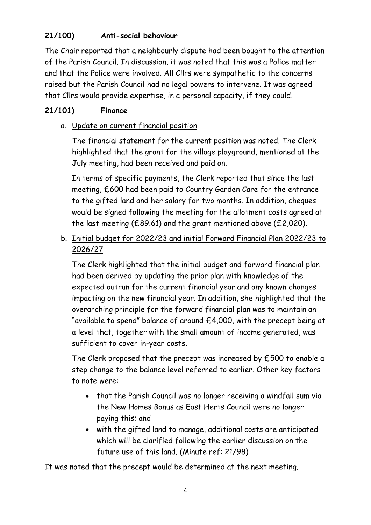# **21/100) Anti-social behaviour**

The Chair reported that a neighbourly dispute had been bought to the attention of the Parish Council. In discussion, it was noted that this was a Police matter and that the Police were involved. All Cllrs were sympathetic to the concerns raised but the Parish Council had no legal powers to intervene. It was agreed that Cllrs would provide expertise, in a personal capacity, if they could.

## **21/101) Finance**

## a. Update on current financial position

The financial statement for the current position was noted. The Clerk highlighted that the grant for the village playground, mentioned at the July meeting, had been received and paid on.

In terms of specific payments, the Clerk reported that since the last meeting, £600 had been paid to Country Garden Care for the entrance to the gifted land and her salary for two months. In addition, cheques would be signed following the meeting for the allotment costs agreed at the last meeting (£89.61) and the grant mentioned above (£2,020).

b. Initial budget for 2022/23 and initial Forward Financial Plan 2022/23 to 2026/27

The Clerk highlighted that the initial budget and forward financial plan had been derived by updating the prior plan with knowledge of the expected outrun for the current financial year and any known changes impacting on the new financial year. In addition, she highlighted that the overarching principle for the forward financial plan was to maintain an "available to spend" balance of around £4,000, with the precept being at a level that, together with the small amount of income generated, was sufficient to cover in-year costs.

The Clerk proposed that the precept was increased by £500 to enable a step change to the balance level referred to earlier. Other key factors to note were:

- that the Parish Council was no longer receiving a windfall sum via the New Homes Bonus as East Herts Council were no longer paying this; and
- with the gifted land to manage, additional costs are anticipated which will be clarified following the earlier discussion on the future use of this land. (Minute ref: 21/98)

It was noted that the precept would be determined at the next meeting.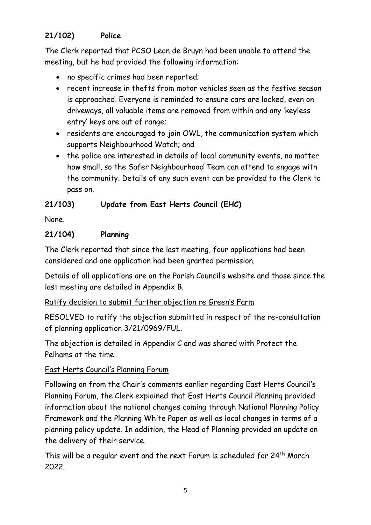# **21/102) Police**

The Clerk reported that PCSO Leon de Bruyn had been unable to attend the meeting, but he had provided the following information:

- no specific crimes had been reported;
- recent increase in thefts from motor vehicles seen as the festive season is approached. Everyone is reminded to ensure cars are locked, even on driveways, all valuable items are removed from within and any 'keyless entry' keys are out of range;
- residents are encouraged to join OWL, the communication system which supports Neighbourhood Watch; and
- the police are interested in details of local community events, no matter how small, so the Safer Neighbourhood Team can attend to engage with the community. Details of any such event can be provided to the Clerk to pass on.

## **21/103) Update from East Herts Council (EHC)**

None.

## **21/104) Planning**

The Clerk reported that since the last meeting, four applications had been considered and one application had been granted permission.

Details of all applications are on the Parish Council's website and those since the last meeting are detailed in Appendix B.

## Ratify decision to submit further objection re Green's Farm

RESOLVED to ratify the objection submitted in respect of the re-consultation of planning application 3/21/0969/FUL.

The objection is detailed in Appendix C and was shared with Protect the Pelhams at the time.

## East Herts Council's Planning Forum

Following on from the Chair's comments earlier regarding East Herts Council's Planning Forum, the Clerk explained that East Herts Council Planning provided information about the national changes coming through National Planning Policy Framework and the Planning White Paper as well as local changes in terms of a planning policy update. In addition, the Head of Planning provided an update on the delivery of their service.

This will be a regular event and the next Forum is scheduled for 24<sup>th</sup> March 2022.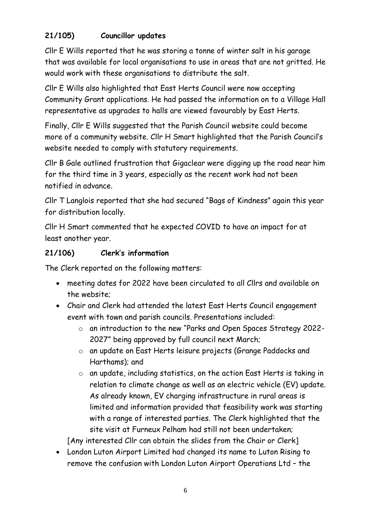# **21/105) Councillor updates**

Cllr E Wills reported that he was storing a tonne of winter salt in his garage that was available for local organisations to use in areas that are not gritted. He would work with these organisations to distribute the salt.

Cllr E Wills also highlighted that East Herts Council were now accepting Community Grant applications. He had passed the information on to a Village Hall representative as upgrades to halls are viewed favourably by East Herts.

Finally, Cllr E Wills suggested that the Parish Council website could become more of a community website. Cllr H Smart highlighted that the Parish Council's website needed to comply with statutory requirements.

Cllr B Gale outlined frustration that Gigaclear were digging up the road near him for the third time in 3 years, especially as the recent work had not been notified in advance.

Cllr T Langlois reported that she had secured "Bags of Kindness" again this year for distribution locally.

Cllr H Smart commented that he expected COVID to have an impact for at least another year.

## **21/106) Clerk's information**

The Clerk reported on the following matters:

- meeting dates for 2022 have been circulated to all Cllrs and available on the website;
- Chair and Clerk had attended the latest East Herts Council engagement event with town and parish councils. Presentations included:
	- o an introduction to the new "Parks and Open Spaces Strategy 2022- 2027" being approved by full council next March;
	- o an update on East Herts leisure projects (Grange Paddocks and Harthams); and
	- o an update, including statistics, on the action East Herts is taking in relation to climate change as well as an electric vehicle (EV) update. As already known, EV charging infrastructure in rural areas is limited and information provided that feasibility work was starting with a range of interested parties. The Clerk highlighted that the site visit at Furneux Pelham had still not been undertaken;

[Any interested Cllr can obtain the slides from the Chair or Clerk]

• London Luton Airport Limited had changed its name to Luton Rising to remove the confusion with London Luton Airport Operations Ltd – the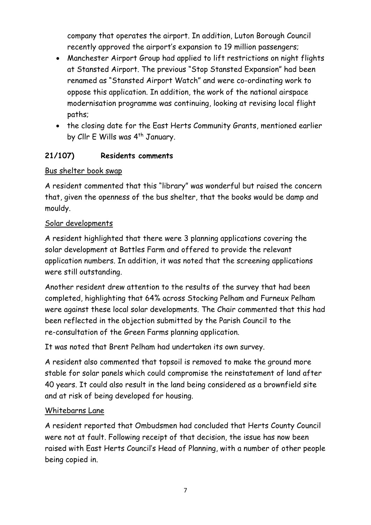company that operates the airport. In addition, Luton Borough Council recently approved the airport's expansion to 19 million passengers;

- Manchester Airport Group had applied to lift restrictions on night flights at Stansted Airport. The previous "Stop Stansted Expansion" had been renamed as "Stansted Airport Watch" and were co-ordinating work to oppose this application. In addition, the work of the national airspace modernisation programme was continuing, looking at revising local flight paths;
- the closing date for the East Herts Community Grants, mentioned earlier by Cllr E Wills was 4<sup>th</sup> January.

#### **21/107) Residents comments**

#### Bus shelter book swap

A resident commented that this "library" was wonderful but raised the concern that, given the openness of the bus shelter, that the books would be damp and mouldy.

#### Solar developments

A resident highlighted that there were 3 planning applications covering the solar development at Battles Farm and offered to provide the relevant application numbers. In addition, it was noted that the screening applications were still outstanding.

Another resident drew attention to the results of the survey that had been completed, highlighting that 64% across Stocking Pelham and Furneux Pelham were against these local solar developments. The Chair commented that this had been reflected in the objection submitted by the Parish Council to the re-consultation of the Green Farms planning application.

It was noted that Brent Pelham had undertaken its own survey.

A resident also commented that topsoil is removed to make the ground more stable for solar panels which could compromise the reinstatement of land after 40 years. It could also result in the land being considered as a brownfield site and at risk of being developed for housing.

#### Whitebarns Lane

A resident reported that Ombudsmen had concluded that Herts County Council were not at fault. Following receipt of that decision, the issue has now been raised with East Herts Council's Head of Planning, with a number of other people being copied in.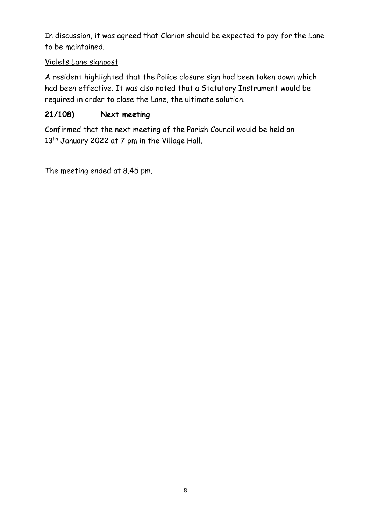In discussion, it was agreed that Clarion should be expected to pay for the Lane to be maintained.

#### Violets Lane signpost

A resident highlighted that the Police closure sign had been taken down which had been effective. It was also noted that a Statutory Instrument would be required in order to close the Lane, the ultimate solution.

## **21/108) Next meeting**

Confirmed that the next meeting of the Parish Council would be held on 13<sup>th</sup> January 2022 at 7 pm in the Village Hall.

The meeting ended at 8.45 pm.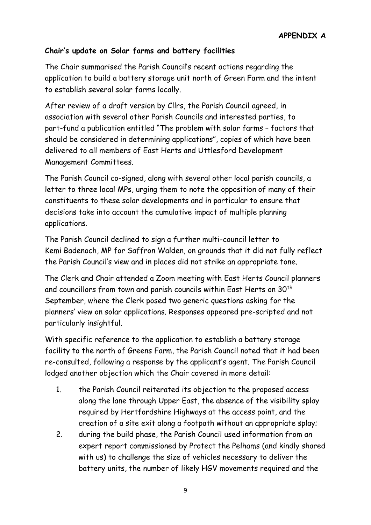#### **Chair's update on Solar farms and battery facilities**

The Chair summarised the Parish Council's recent actions regarding the application to build a battery storage unit north of Green Farm and the intent to establish several solar farms locally.

After review of a draft version by Cllrs, the Parish Council agreed, in association with several other Parish Councils and interested parties, to part-fund a publication entitled "The problem with solar farms – factors that should be considered in determining applications", copies of which have been delivered to all members of East Herts and Uttlesford Development Management Committees.

The Parish Council co-signed, along with several other local parish councils, a letter to three local MPs, urging them to note the opposition of many of their constituents to these solar developments and in particular to ensure that decisions take into account the cumulative impact of multiple planning applications.

The Parish Council declined to sign a further multi-council letter to Kemi Badenoch, MP for Saffron Walden, on grounds that it did not fully reflect the Parish Council's view and in places did not strike an appropriate tone.

The Clerk and Chair attended a Zoom meeting with East Herts Council planners and councillors from town and parish councils within East Herts on 30<sup>th</sup> September, where the Clerk posed two generic questions asking for the planners' view on solar applications. Responses appeared pre-scripted and not particularly insightful.

With specific reference to the application to establish a battery storage facility to the north of Greens Farm, the Parish Council noted that it had been re-consulted, following a response by the applicant's agent. The Parish Council lodged another objection which the Chair covered in more detail:

- 1. the Parish Council reiterated its objection to the proposed access along the lane through Upper East, the absence of the visibility splay required by Hertfordshire Highways at the access point, and the creation of a site exit along a footpath without an appropriate splay;
- 2. during the build phase, the Parish Council used information from an expert report commissioned by Protect the Pelhams (and kindly shared with us) to challenge the size of vehicles necessary to deliver the battery units, the number of likely HGV movements required and the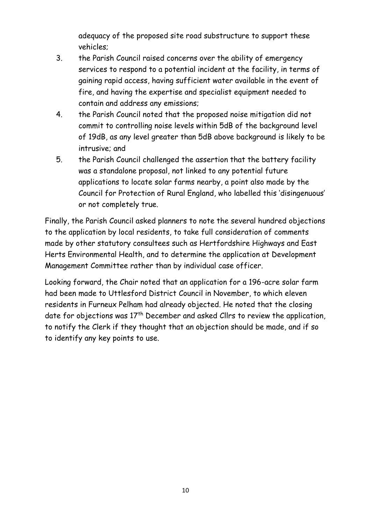adequacy of the proposed site road substructure to support these vehicles;

- 3. the Parish Council raised concerns over the ability of emergency services to respond to a potential incident at the facility, in terms of gaining rapid access, having sufficient water available in the event of fire, and having the expertise and specialist equipment needed to contain and address any emissions;
- 4. the Parish Council noted that the proposed noise mitigation did not commit to controlling noise levels within 5dB of the background level of 19dB, as any level greater than 5dB above background is likely to be intrusive; and
- 5. the Parish Council challenged the assertion that the battery facility was a standalone proposal, not linked to any potential future applications to locate solar farms nearby, a point also made by the Council for Protection of Rural England, who labelled this 'disingenuous' or not completely true.

Finally, the Parish Council asked planners to note the several hundred objections to the application by local residents, to take full consideration of comments made by other statutory consultees such as Hertfordshire Highways and East Herts Environmental Health, and to determine the application at Development Management Committee rather than by individual case officer.

Looking forward, the Chair noted that an application for a 196-acre solar farm had been made to Uttlesford District Council in November, to which eleven residents in Furneux Pelham had already objected. He noted that the closing date for objections was  $17<sup>th</sup>$  December and asked Cllrs to review the application, to notify the Clerk if they thought that an objection should be made, and if so to identify any key points to use.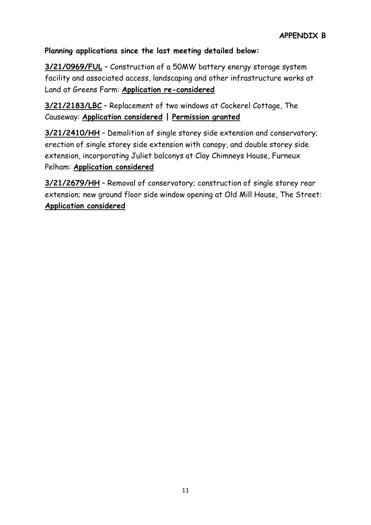#### **Planning applications since the last meeting detailed below:**

**3/21/0969/FUL** – Construction of a 50MW battery energy storage system facility and associated access, landscaping and other infrastructure works at Land at Greens Farm: **Application re-considered**

**3/21/2183/LBC** – Replacement of two windows at Cockerel Cottage, The Causeway: **Application considered | Permission granted**

**3/21/2410/HH** – Demolition of single storey side extension and conservatory; erection of single storey side extension with canopy, and double storey side extension, incorporating Juliet balconys at Clay Chimneys House, Furneux Pelham: **Application considered**

**3/21/2679/HH** – Removal of conservatory; construction of single storey rear extension; new ground floor side window opening at Old Mill House, The Street: **Application considered**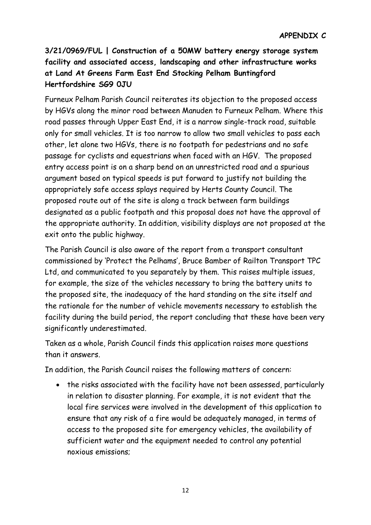# **3/21/0969/FUL | Construction of a 50MW battery energy storage system facility and associated access, landscaping and other infrastructure works at Land At Greens Farm East End Stocking Pelham Buntingford Hertfordshire SG9 0JU**

Furneux Pelham Parish Council reiterates its objection to the proposed access by HGVs along the minor road between Manuden to Furneux Pelham. Where this road passes through Upper East End, it is a narrow single-track road, suitable only for small vehicles. It is too narrow to allow two small vehicles to pass each other, let alone two HGVs, there is no footpath for pedestrians and no safe passage for cyclists and equestrians when faced with an HGV. The proposed entry access point is on a sharp bend on an unrestricted road and a spurious argument based on typical speeds is put forward to justify not building the appropriately safe access splays required by Herts County Council. The proposed route out of the site is along a track between farm buildings designated as a public footpath and this proposal does not have the approval of the appropriate authority. In addition, visibility displays are not proposed at the exit onto the public highway.

The Parish Council is also aware of the report from a transport consultant commissioned by 'Protect the Pelhams', Bruce Bamber of Railton Transport TPC Ltd, and communicated to you separately by them. This raises multiple issues, for example, the size of the vehicles necessary to bring the battery units to the proposed site, the inadequacy of the hard standing on the site itself and the rationale for the number of vehicle movements necessary to establish the facility during the build period, the report concluding that these have been very significantly underestimated.

Taken as a whole, Parish Council finds this application raises more questions than it answers.

In addition, the Parish Council raises the following matters of concern:

• the risks associated with the facility have not been assessed, particularly in relation to disaster planning. For example, it is not evident that the local fire services were involved in the development of this application to ensure that any risk of a fire would be adequately managed, in terms of access to the proposed site for emergency vehicles, the availability of sufficient water and the equipment needed to control any potential noxious emissions;